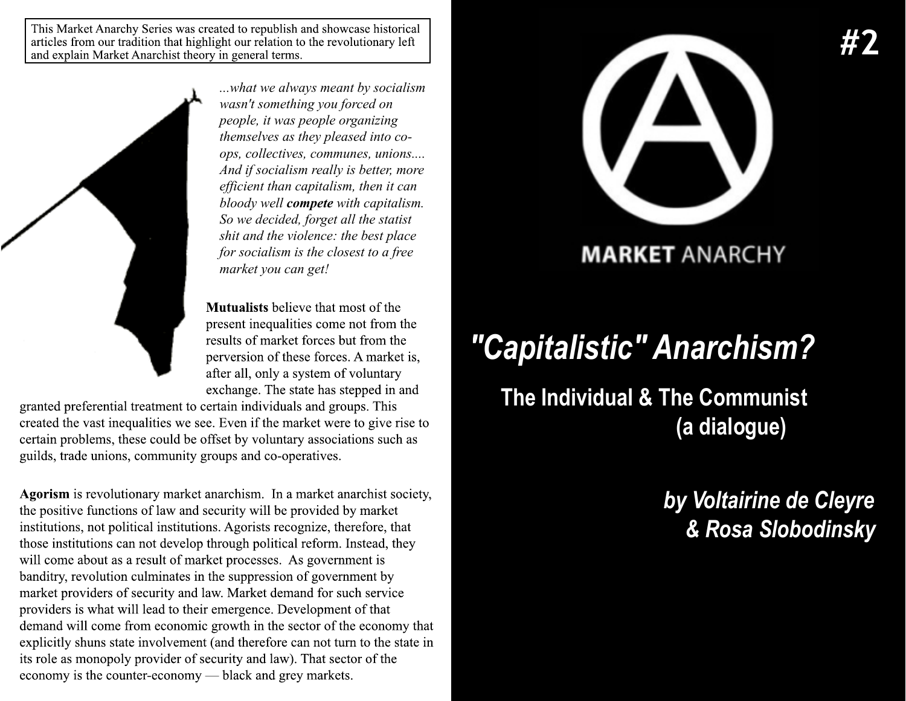This Market Anarchy Series was created to republish and showcase historical articles from our tradition that highlight our relation to the revolutionary left and explain Market Anarchist theory in general terms.



...what we always meant by socialism wasn't something you forced on people, it was people organizing themselves as they pleased into coops, collectives, communes, unions.... And if socialism really is better, more efficient than capitalism, then it can bloody well compete with capitalism. So we decided, forget all the statist shit and the violence: the best place for socialism is the closest to a free market you can get!

**Mutualists** believe that most of the present inequalities come not from the results of market forces but from the perversion of these forces. A market is, after all, only a system of voluntary exchange. The state has stepped in and

granted preferential treatment to certain individuals and groups. This created the vast inequalities we see. Even if the market were to give rise to certain problems, these could be offset by voluntary associations such as guilds, trade unions, community groups and co-operatives.

Agorism is revolutionary market anarchism. In a market anarchist society, the positive functions of law and security will be provided by market institutions, not political institutions. Agorists recognize, therefore, that those institutions can not develop through political reform. Instead, they will come about as a result of market processes. As government is banditry, revolution culminates in the suppression of government by market providers of security and law. Market demand for such service providers is what will lead to their emergence. Development of that demand will come from economic growth in the sector of the economy that explicitly shuns state involvement (and therefore can not turn to the state in its role as monopoly provider of security and law). That sector of the economy is the counter-economy — black and grey markets.



## **MARKET ANARCHY**

## "Capitalistic" Anarchism?

The Individual & The Communist (a dialogue)

> by Voltairine de Cleyre & Rosa Slobodinsky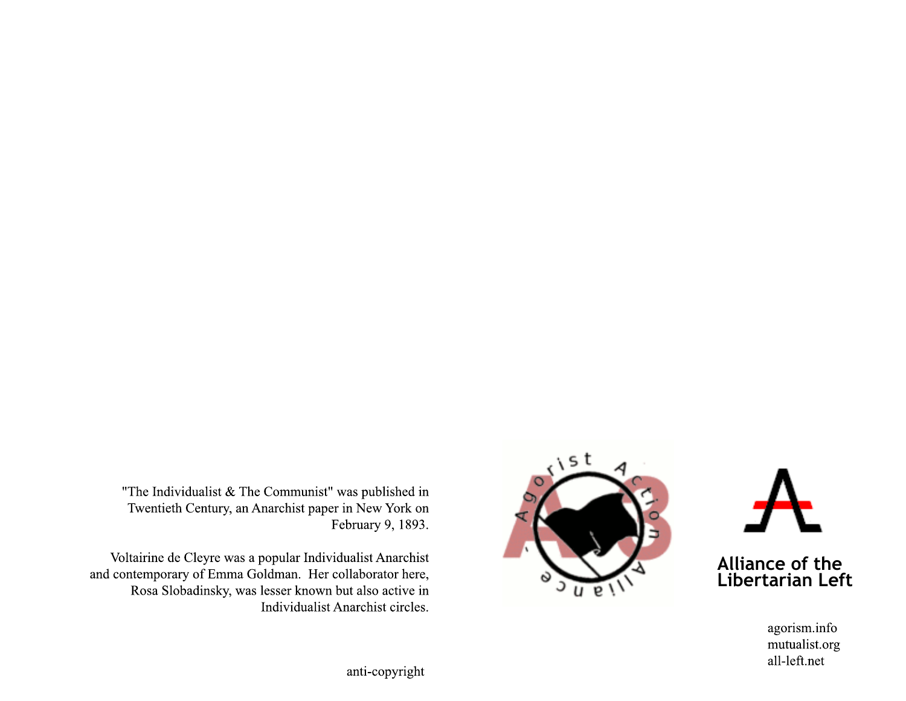

# Alliance of the<br>Libertarian Left

agorism.info mutualist.org all-left.net



"The Individualist  $&$  The Communist" was published in Twentieth Century, an Anarchist paper in New York on February 9, 1893.

Voltairine de Cleyre was a popular Individualist Anarchist and contemporary of Emma Goldman. Her collaborator here, Rosa Slobadinsky, was lesser known but also active in Individualist Anarchist circles.

anti-copyright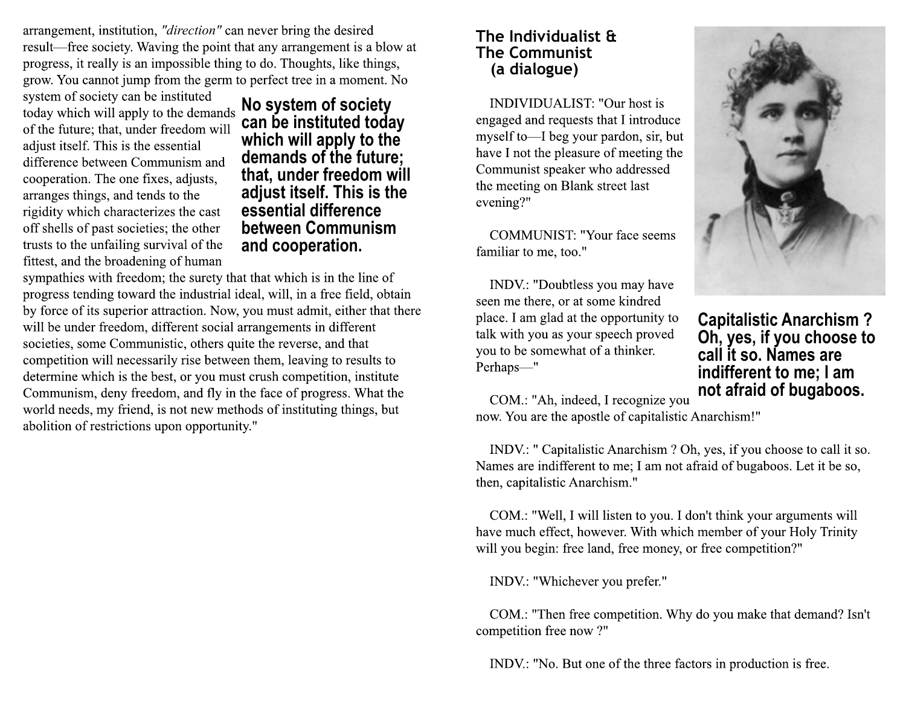arrangement, institution, "direction" can never bring the desired result—free society. Waving the point that any arrangement is a blow at progress, it really is an impossible thing to do. Thoughts, like things, grow. You cannot jump from the germ to perfect tree in a moment. No

system of society can be instituted today which will apply to the demands of the future; that, under freedom will adjust itself. This is the essential difference between Communism and cooperation. The one fixes, adjusts, arranges things, and tends to the rigidity which characterizes the cast off shells of past societies; the other trusts to the unfailing survival of the fittest, and the broadening of human

No system of society can be instituted today which will apply to the demands of the future: that, under freedom will adjust itself. This is the essential difference between Communism and cooperation.

sympathies with freedom; the surety that that which is in the line of progress tending toward the industrial ideal, will, in a free field, obtain by force of its superior attraction. Now, you must admit, either that there will be under freedom, different social arrangements in different societies, some Communistic, others quite the reverse, and that competition will necessarily rise between them, leaving to results to determine which is the best, or you must crush competition, institute Communism, deny freedom, and fly in the face of progress. What the world needs, my friend, is not new methods of instituting things, but abolition of restrictions upon opportunity."

#### The Individualist & **The Communist** (a dialogue)

**INDIVIDUALIST: "Our host is** engaged and requests that I introduce myself to—I beg your pardon, sir, but have I not the pleasure of meeting the Communist speaker who addressed the meeting on Blank street last evening?"

**COMMUNIST: "Your face seems** familiar to me, too."

INDV.: "Doubtless you may have seen me there, or at some kindred place. I am glad at the opportunity to talk with you as your speech proved you to be somewhat of a thinker. Perhaps-"

COM.: "Ah, indeed, I recognize you now. You are the apostle of capitalistic Anarchism!"

INDV.: " Capitalistic Anarchism ? Oh, yes, if you choose to call it so. Names are indifferent to me; I am not afraid of bugaboos. Let it be so, then, capitalistic Anarchism."

COM.: "Well, I will listen to you. I don't think your arguments will have much effect, however. With which member of your Holy Trinity will you begin: free land, free money, or free competition?"

INDV.: "Whichever you prefer."

COM.: "Then free competition. Why do you make that demand? Isn't competition free now ?"

INDV: "No. But one of the three factors in production is free.

**Capitalistic Anarchism?** Oh, yes, if you choose to call it so. Names are indifferent to me; I am not afraid of bugaboos.

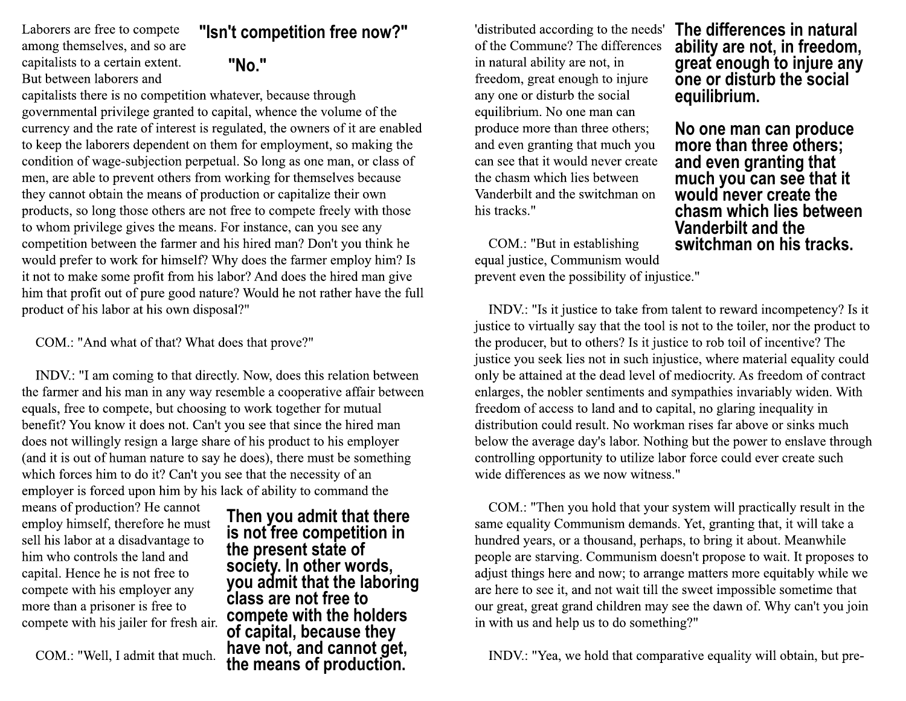Laborers are free to compete among themselves, and so are capitalists to a certain extent. But between laborers and

## **"Is n'tcom pe tition fre e now ?" "No."**

capitalists there is no competition whatever, because through governmental privilege granted to capital, whence the volume of the currency and the rate of interest is regulated, the owners of it are enabled to keep the laborers dependent on them for employment, so making the condition of wage-subjection perpetual. So long as one man, or class of men, are able to prevent others from working for themselves because they cannot obtain the means of production or capitalize their own products, so long those others are not free to compete freely with those to whom privilege gives the means. For instance, can you see any competition between the farmer and his hired man? Don't you think he would prefer to work for himself? Why does the farmer employ him? Is it not to make some profit from his labor? And does the hired man give him that profit out of pure good nature? Would he not rather have the full product of his labor at his own disposal?"

COM.: "And what of that? What does that prove?"

INDV.: "I am coming to that directly. Now, does this relation between the farmer and his man in any way resemble a cooperative affair between equals, free to compete, but choosing to work together for mutual benefit? You know it does not. Can't you see that since the hired man does not willingly resign a large share of his product to his employer (and it is out of human nature to say he does), there must be something which forces him to do it? Can't you see that the necessity of an employer is forced upon him by his lack of ability to command the

means of production? He cannot employ himself, therefore he must sell his labor at a disadvantage to him who controls the land and capital. Hence he is not free to compete with his employer any more than a prisoner is free to compete with his jailer for fresh air.

COM.: "Well, I admit that much.

**Then you admit that there is** not free competition in **the present state of s ocie ty. In oth e rw ords , <u>you** admit that the laboring</u>  $\epsilon$  **class are not free to compete with the holders** *<u><b>of* capital, because they</u> **have** not, and cannot get, **the means of production.** 

'distributed according to the needs' of the Commune? The differences in natural ability are not, in freedom, great enough to injure any one or disturb the social equilibrium. No one man can produce more than three others; and even granting that much you can see that it would never create the chasm which lies between Vanderbilt and the switchman on his tracks."

COM.: "But in establishing equal justice, Communism would prevent even the possibility of injustice."

**Th e diffe re nce s in natural ability are not, in fre e dom , gre ate nough to injure any**  $\overline{a}$  **one** or disturb the social **e q uilibrium .**

**No one m an can produce more** than three others; **and e ve n granting th at m uch you can s e e th atit w ould ne ve rcre ate th e chasm which lies between Vanderbilt and the s w itch m an on h is track s .**

INDV: "Is it justice to take from talent to reward incompetency? Is it justice to virtually say that the tool is not to the toiler, nor the product to the producer, but to others? Is it justice to rob toil of incentive? The justice you seek lies not in such injustice, where material equality could only be attained at the dead level of mediocrity. As freedom of contract enlarges, the nobler sentiments and sympathies invariably widen. With freedom of access to land and to capital, no glaring inequality in distribution could result. No workman rises far above or sinks much below the average day's labor. Nothing but the power to enslave through controlling opportunity to utilize labor force could ever create such wide differences as we now witness."

COM.: "Then you hold that your system will practically result in the same equality Communism demands. Yet, granting that, it will take a hundred years, or a thousand, perhaps, to bring it about. Meanwhile people are starving. Communism doesn't propose to wait. It proposes to adjust things here and now; to arrange matters more equitably while we are here to see it, and not wait till the sweet impossible sometime that our great, great grand children may see the dawn of. Why can't you join in with us and help us to do something?"

INDV.: "Yea, we hold that comparative equality will obtain, but pre-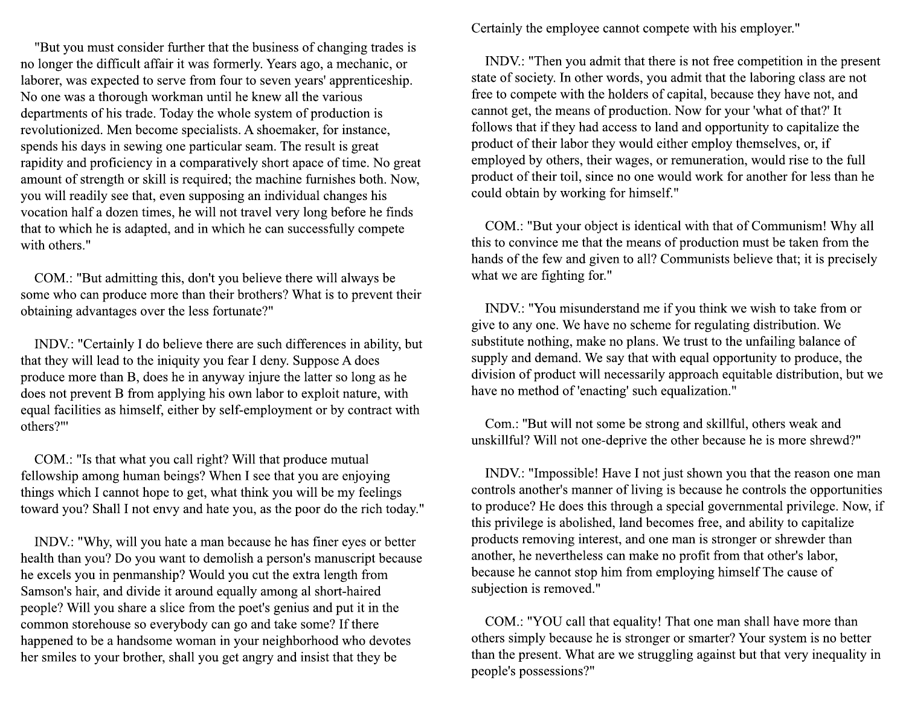"But you must consider further that the business of changing trades is no longer the difficult affair it was formerly. Years ago, a mechanic, or laborer, was expected to serve from four to seven years' apprenticeship. No one was a thorough workman until he knew all the various departments of his trade. Today the whole system of production is revolutionized. Men become specialists. A shoemaker, for instance, spends his days in sewing one particular seam. The result is great rapidity and proficiency in a comparatively short apace of time. No great amount of strength or skill is required; the machine furnishes both. Now, you will readily see that, even supposing an individual changes his vocation half a dozen times, he will not travel very long before he finds that to which he is adapted, and in which he can successfully compete with others."

COM.: "But admitting this, don't you believe there will always be some who can produce more than their brothers? What is to prevent their obtaining advantages over the less fortunate?"

INDV.: "Certainly I do believe there are such differences in ability, but that they will lead to the iniquity you fear I deny. Suppose A does produce more than B, does he in anyway injure the latter so long as he does not prevent B from applying his own labor to exploit nature, with equal facilities as himself, either by self-employment or by contract with others?"'

COM.: "Is that what you call right? Will that produce mutual fellowship among human beings? When I see that you are enjoying things which I cannot hope to get, what think you will be my feelings toward you? Shall I not envy and hate you, as the poor do the rich today."

INDV.: "Why, will you hate a man because he has finer eyes or better health than you? Do you want to demolish a person's manuscript because he excels you in penmanship? Would you cut the extra length from Samson's hair, and divide it around equally among al short-haired people? Will you share a slice from the poet's genius and put it in the common storehouse so everybody can go and take some? If there happened to be a handsome woman in your neighborhood who devotes her smiles to your brother, shall you get angry and insist that they be

Certainly the employee cannot compete with his employer."

INDV: "Then you admit that there is not free competition in the present state of society. In other words, you admit that the laboring class are not free to compete with the holders of capital, because they have not, and cannot get, the means of production. Now for your 'what of that?' It follows that if they had access to land and opportunity to capitalize the product of their labor they would either employ themselves, or, if employed by others, their wages, or remuneration, would rise to the full product of their toil, since no one would work for another for less than he could obtain by working for himself."

COM.: "But your object is identical with that of Communism! Why all this to convince me that the means of production must be taken from the hands of the few and given to all? Communists believe that; it is precisely what we are fighting for."

INDV.: "You misunderstand me if you think we wish to take from or give to any one. We have no scheme for regulating distribution. We substitute nothing, make no plans. We trust to the unfailing balance of supply and demand. We say that with equal opportunity to produce, the division of product will necessarily approach equitable distribution, but we have no method of 'enacting' such equalization."

Com.: "But will not some be strong and skillful, others weak and unskillful? Will not one-deprive the other because he is more shrewd?"

INDV.: "Impossible! Have I not just shown you that the reason one man controls another's manner of living is because he controls the opportunities to produce? He does this through a special governmental privilege. Now, if this privilege is abolished, land becomes free, and ability to capitalize products removing interest, and one man is stronger or shrewder than another, he nevertheless can make no profit from that other's labor, because he cannot stop him from employing himself The cause of subjection is removed."

COM.: "YOU call that equality! That one man shall have more than others simply because he is stronger or smarter? Your system is no better than the present. What are we struggling against but that very inequality in people's possessions?"